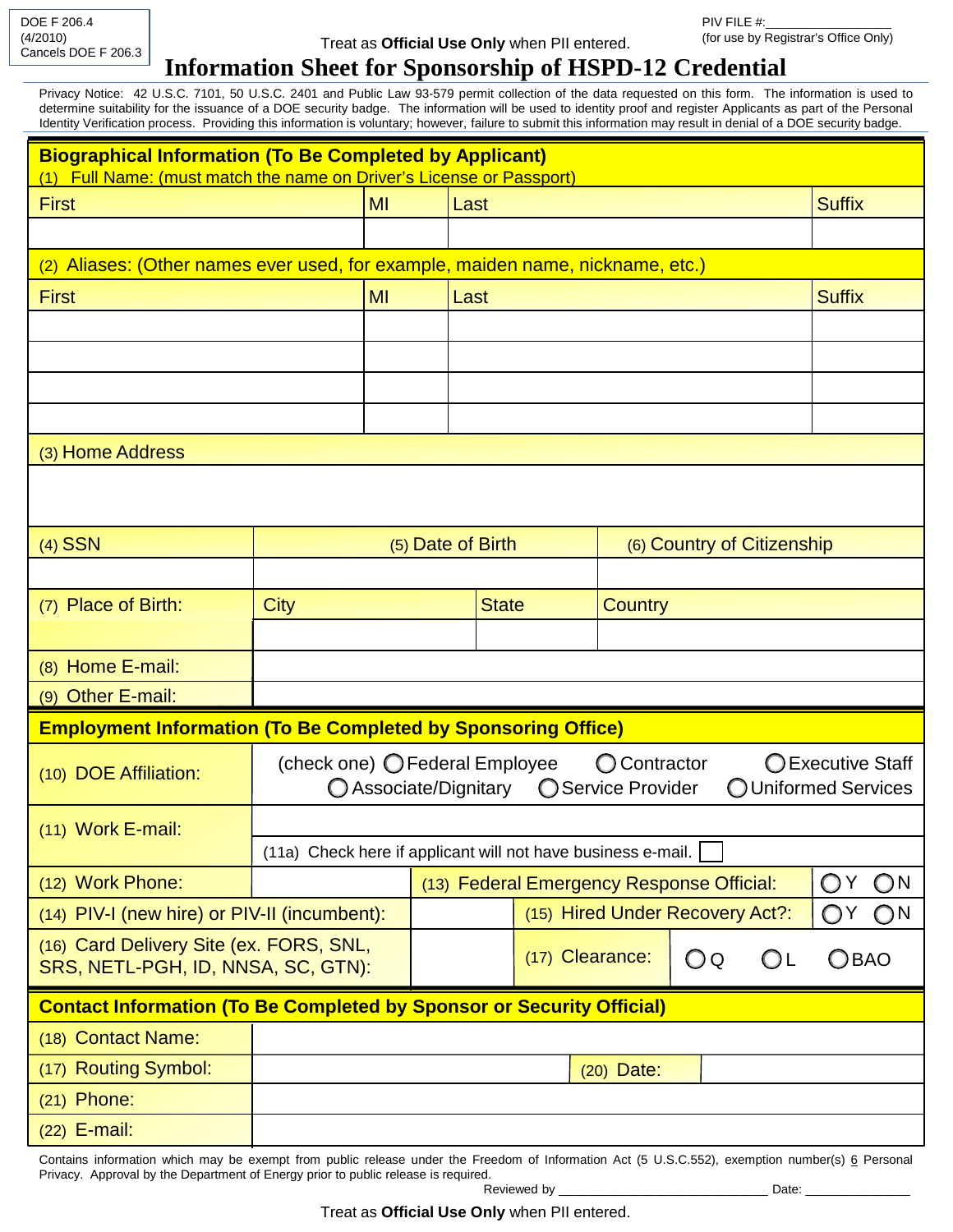DOE F 206.4 (4/2010) Cancels DOE F 206.3

## Treat as **Official Use Only** when PII entered.

## **Information Sheet for Sponsorship of HSPD-12 Credential**

Privacy Notice: 42 U.S.C. 7101, 50 U.S.C. 2401 and Public Law 93-579 permit collection of the data requested on this form. The information is used to determine suitability for the issuance of a DOE security badge. The information will be used to identity proof and register Applicants as part of the Personal Identity Verification process. Providing this information is voluntary; however, failure to submit this information may result in denial of a DOE security badge.

| <b>Biographical Information (To Be Completed by Applicant)</b><br>(1) Full Name: (must match the name on Driver's License or Passport)          |                                                                                                                                                              |              |                                 |                       |                            |    |               |               |              |
|-------------------------------------------------------------------------------------------------------------------------------------------------|--------------------------------------------------------------------------------------------------------------------------------------------------------------|--------------|---------------------------------|-----------------------|----------------------------|----|---------------|---------------|--------------|
| <b>First</b>                                                                                                                                    | MI                                                                                                                                                           |              | Last                            |                       |                            |    | <b>Suffix</b> |               |              |
|                                                                                                                                                 |                                                                                                                                                              |              |                                 |                       |                            |    |               |               |              |
| (2) Aliases: (Other names ever used, for example, maiden name, nickname, etc.)                                                                  |                                                                                                                                                              |              |                                 |                       |                            |    |               |               |              |
| <b>First</b><br>MI                                                                                                                              |                                                                                                                                                              |              | Last                            |                       |                            |    |               | <b>Suffix</b> |              |
|                                                                                                                                                 |                                                                                                                                                              |              |                                 |                       |                            |    |               |               |              |
|                                                                                                                                                 |                                                                                                                                                              |              |                                 |                       |                            |    |               |               |              |
|                                                                                                                                                 |                                                                                                                                                              |              |                                 |                       |                            |    |               |               |              |
|                                                                                                                                                 |                                                                                                                                                              |              |                                 |                       |                            |    |               |               |              |
| (3) Home Address                                                                                                                                |                                                                                                                                                              |              |                                 |                       |                            |    |               |               |              |
|                                                                                                                                                 |                                                                                                                                                              |              |                                 |                       |                            |    |               |               |              |
| $(4)$ SSN                                                                                                                                       |                                                                                                                                                              |              | (5) Date of Birth               |                       | (6) Country of Citizenship |    |               |               |              |
|                                                                                                                                                 |                                                                                                                                                              |              |                                 |                       |                            |    |               |               |              |
| (7) Place of Birth:                                                                                                                             | <b>City</b>                                                                                                                                                  | <b>State</b> |                                 | <b>Country</b>        |                            |    |               |               |              |
|                                                                                                                                                 |                                                                                                                                                              |              |                                 |                       |                            |    |               |               |              |
| (8) Home E-mail:                                                                                                                                |                                                                                                                                                              |              |                                 |                       |                            |    |               |               |              |
| (9) Other E-mail:                                                                                                                               |                                                                                                                                                              |              |                                 |                       |                            |    |               |               |              |
| <b>Employment Information (To Be Completed by Sponsoring Office)</b>                                                                            |                                                                                                                                                              |              |                                 |                       |                            |    |               |               |              |
| (10) DOE Affiliation:                                                                                                                           | (check one) O Federal Employee<br><b>O</b> Contractor<br>◯ Executive Staff<br>◯ Associate/Dignitary<br>Service Provider<br>OUniformed Services<br>$\bigcirc$ |              |                                 |                       |                            |    |               |               |              |
| $(11)$ Work E-mail:                                                                                                                             |                                                                                                                                                              |              |                                 |                       |                            |    |               |               |              |
|                                                                                                                                                 | (11a) Check here if applicant will not have business e-mail.                                                                                                 |              |                                 |                       |                            |    |               |               |              |
| (12) Work Phone:                                                                                                                                | (13) Federal Emergency Response Official:<br>O                                                                                                               |              |                                 |                       |                            |    | ON            |               |              |
| (14) PIV-I (new hire) or PIV-II (incumbent):                                                                                                    |                                                                                                                                                              |              | (15) Hired Under Recovery Act?: |                       |                            |    |               | O Y           | $\bigcirc$ N |
| (16) Card Delivery Site (ex. FORS, SNL,<br>SRS, NETL-PGH, ID, NNSA, SC, GTN):                                                                   |                                                                                                                                                              |              |                                 | (17) Clearance:<br>OQ |                            | OL | <b>OBAO</b>   |               |              |
| <b>Contact Information (To Be Completed by Sponsor or Security Official)</b>                                                                    |                                                                                                                                                              |              |                                 |                       |                            |    |               |               |              |
| (18) Contact Name:                                                                                                                              |                                                                                                                                                              |              |                                 |                       |                            |    |               |               |              |
| (17) Routing Symbol:                                                                                                                            | $(20)$ Date:                                                                                                                                                 |              |                                 |                       |                            |    |               |               |              |
| $(21)$ Phone:                                                                                                                                   |                                                                                                                                                              |              |                                 |                       |                            |    |               |               |              |
| $(22)$ E-mail:                                                                                                                                  |                                                                                                                                                              |              |                                 |                       |                            |    |               |               |              |
| Contains information which may be exempt from public release under the Freedom of Information Act (5 U.S.C.552), exemption number(s) 6 Personal |                                                                                                                                                              |              |                                 |                       |                            |    |               |               |              |

Privacy. Approval by the Department of Energy prior to public release is required. Reviewed by \_\_\_\_\_\_\_\_\_\_\_\_\_\_\_\_\_\_\_\_\_\_\_\_\_\_\_\_\_\_ Date: \_\_\_\_\_\_\_\_\_\_\_\_\_\_\_